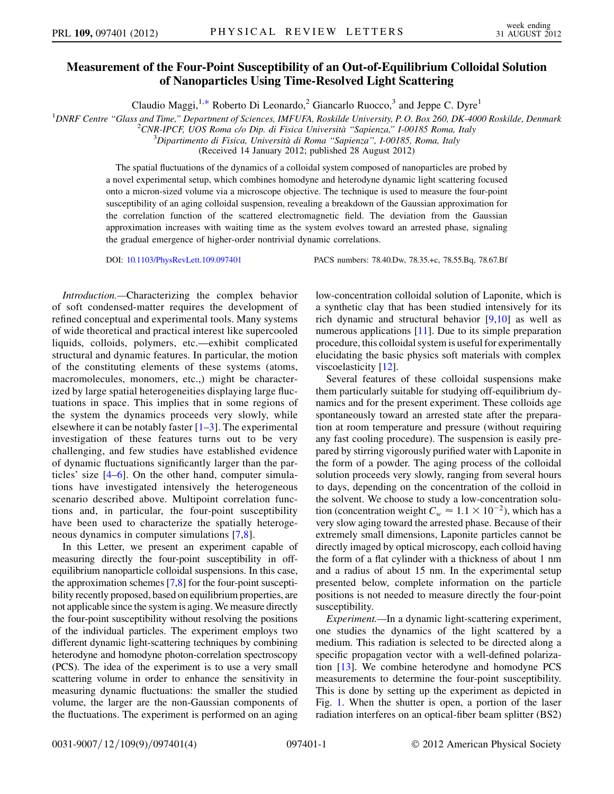## Measurement of the Four-Point Susceptibility of an Out-of-Equilibrium Colloidal Solution of Nanoparticles Using Time-Resolved Light Scattering

Claudio Maggi,<sup>1,[\\*](#page-3-0)</sup> Roberto Di Leonardo,<sup>2</sup> Giancarlo Ruocco,<sup>3</sup> and Jeppe C. Dyre<sup>1</sup>

<span id="page-0-0"></span><sup>1</sup>DNRF Centre "Glass and Time," Department of Sciences, IMFUFA, Roskilde University, P.O. Box 260, DK-4000 Roskilde, Denmark  $^{2}$ CNP JPCE JJOS Roma c/o Din, di Fisica Università "Sanianza" L00185 Roma, Italy

<sup>2</sup>CNR-IPCF, UOS Roma c/o Dip. di Fisica Università "Sapienza," I-00185 Roma, Italy

 $^3$ Dipartimento di Fisica, Università di Roma "Sapienza", I-00185, Roma, Italy

(Received 14 January 2012; published 28 August 2012)

The spatial fluctuations of the dynamics of a colloidal system composed of nanoparticles are probed by a novel experimental setup, which combines homodyne and heterodyne dynamic light scattering focused onto a micron-sized volume via a microscope objective. The technique is used to measure the four-point susceptibility of an aging colloidal suspension, revealing a breakdown of the Gaussian approximation for the correlation function of the scattered electromagnetic field. The deviation from the Gaussian approximation increases with waiting time as the system evolves toward an arrested phase, signaling the gradual emergence of higher-order nontrivial dynamic correlations.

DOI: [10.1103/PhysRevLett.109.097401](http://dx.doi.org/10.1103/PhysRevLett.109.097401) PACS numbers: 78.40.Dw, 78.35.+c, 78.55.Bq, 78.67.Bf

Introduction.—Characterizing the complex behavior of soft condensed-matter requires the development of refined conceptual and experimental tools. Many systems of wide theoretical and practical interest like supercooled liquids, colloids, polymers, etc.—exhibit complicated structural and dynamic features. In particular, the motion of the constituting elements of these systems (atoms, macromolecules, monomers, etc.,) might be characterized by large spatial heterogeneities displaying large fluctuations in space. This implies that in some regions of the system the dynamics proceeds very slowly, while elsewhere it can be notably faster  $[1-3]$  $[1-3]$  $[1-3]$  $[1-3]$ . The experimental investigation of these features turns out to be very challenging, and few studies have established evidence of dynamic fluctuations significantly larger than the particles' size [\[4–](#page-3-3)[6](#page-3-4)]. On the other hand, computer simulations have investigated intensively the heterogeneous scenario described above. Multipoint correlation functions and, in particular, the four-point susceptibility have been used to characterize the spatially heterogeneous dynamics in computer simulations [[7](#page-3-5),[8](#page-3-6)].

In this Letter, we present an experiment capable of measuring directly the four-point susceptibility in offequilibrium nanoparticle colloidal suspensions. In this case, the approximation schemes [\[7,](#page-3-5)[8](#page-3-6)] for the four-point susceptibility recently proposed, based on equilibrium properties, are not applicable since the system is aging. We measure directly the four-point susceptibility without resolving the positions of the individual particles. The experiment employs two different dynamic light-scattering techniques by combining heterodyne and homodyne photon-correlation spectroscopy (PCS). The idea of the experiment is to use a very small scattering volume in order to enhance the sensitivity in measuring dynamic fluctuations: the smaller the studied volume, the larger are the non-Gaussian components of the fluctuations. The experiment is performed on an aging

low-concentration colloidal solution of Laponite, which is a synthetic clay that has been studied intensively for its rich dynamic and structural behavior [[9](#page-3-7)[,10\]](#page-3-8) as well as numerous applications [[11](#page-3-9)]. Due to its simple preparation procedure, this colloidal system is useful for experimentally elucidating the basic physics soft materials with complex viscoelasticity [\[12\]](#page-3-10).

Several features of these colloidal suspensions make them particularly suitable for studying off-equilibrium dynamics and for the present experiment. These colloids age spontaneously toward an arrested state after the preparation at room temperature and pressure (without requiring any fast cooling procedure). The suspension is easily prepared by stirring vigorously purified water with Laponite in the form of a powder. The aging process of the colloidal solution proceeds very slowly, ranging from several hours to days, depending on the concentration of the colloid in the solvent. We choose to study a low-concentration solution (concentration weight  $C_w \approx 1.1 \times 10^{-2}$ ), which has a<br>very slow aging toward the arrested phase. Because of their very slow aging toward the arrested phase. Because of their extremely small dimensions, Laponite particles cannot be directly imaged by optical microscopy, each colloid having the form of a flat cylinder with a thickness of about 1 nm and a radius of about 15 nm. In the experimental setup presented below, complete information on the particle positions is not needed to measure directly the four-point susceptibility.

Experiment.—In a dynamic light-scattering experiment, one studies the dynamics of the light scattered by a medium. This radiation is selected to be directed along a specific propagation vector with a well-defined polarization [[13](#page-3-11)]. We combine heterodyne and homodyne PCS measurements to determine the four-point susceptibility. This is done by setting up the experiment as depicted in Fig. [1](#page-1-0). When the shutter is open, a portion of the laser radiation interferes on an optical-fiber beam splitter (BS2)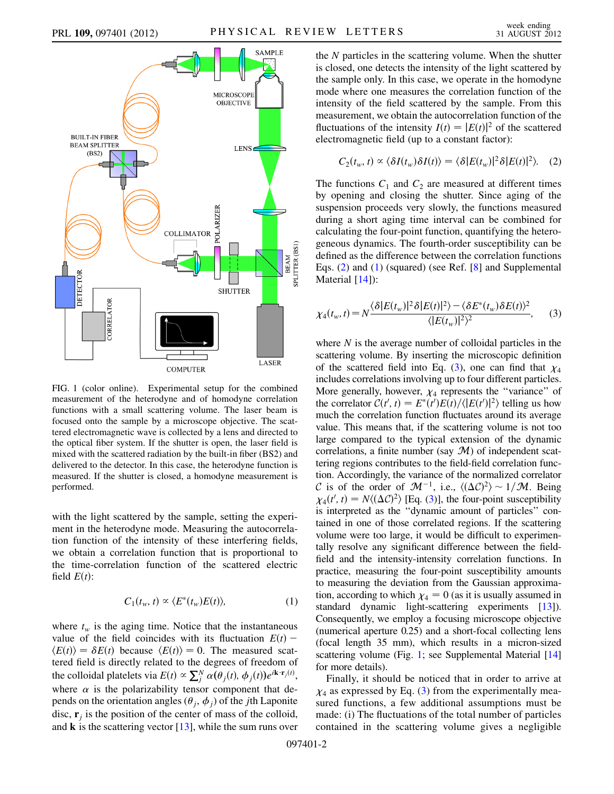<span id="page-1-0"></span>

FIG. 1 (color online). Experimental setup for the combined measurement of the heterodyne and of homodyne correlation functions with a small scattering volume. The laser beam is focused onto the sample by a microscope objective. The scattered electromagnetic wave is collected by a lens and directed to the optical fiber system. If the shutter is open, the laser field is mixed with the scattered radiation by the built-in fiber (BS2) and delivered to the detector. In this case, the heterodyne function is measured. If the shutter is closed, a homodyne measurement is performed.

with the light scattered by the sample, setting the experiment in the heterodyne mode. Measuring the autocorrelation function of the intensity of these interfering fields, we obtain a correlation function that is proportional to the time-correlation function of the scattered electric field  $E(t)$ :

$$
C_1(t_w, t) \propto \langle E^*(t_w) E(t) \rangle, \tag{1}
$$

<span id="page-1-2"></span>where  $t_w$  is the aging time. Notice that the instantaneous value of the field coincides with its fluctuation  $E(t)$  –  $\langle E(t) \rangle = \delta E(t)$  because  $\langle E(t) \rangle = 0$ . The measured scattered field is directly related to the degrees of freedom of the colloidal platelets via  $E(t) \propto \sum_j^N \alpha(\theta_j(t), \phi_j(t)) e^{i\mathbf{k} \cdot \mathbf{r}_j(t)}$ , where  $\alpha$  is the polarizability tensor component that depends on the orientation angles ( $\theta_i$ ,  $\phi_j$ ) of the *j*th Laponite disc,  $\mathbf{r}_i$  is the position of the center of mass of the colloid, and  $\bf{k}$  is the scattering vector [[13](#page-3-11)], while the sum runs over the N particles in the scattering volume. When the shutter is closed, one detects the intensity of the light scattered by the sample only. In this case, we operate in the homodyne mode where one measures the correlation function of the intensity of the field scattered by the sample. From this measurement, we obtain the autocorrelation function of the fluctuations of the intensity  $I(t) = |E(t)|^2$  of the scattered electromagnetic field (up to a constant factor):

<span id="page-1-1"></span>
$$
C_2(t_w, t) \propto \langle \delta I(t_w) \delta I(t) \rangle = \langle \delta | E(t_w) |^2 \delta | E(t) |^2 \rangle. \quad (2)
$$

The functions  $C_1$  and  $C_2$  are measured at different times by opening and closing the shutter. Since aging of the suspension proceeds very slowly, the functions measured during a short aging time interval can be combined for calculating the four-point function, quantifying the heterogeneous dynamics. The fourth-order susceptibility can be defined as the difference between the correlation functions Eqs. ([2](#page-1-1)) and [\(1\)](#page-1-2) (squared) (see Ref. [\[8](#page-3-6)] and Supplemental Material [\[14\]](#page-3-12)):

<span id="page-1-3"></span>
$$
\chi_4(t_w, t) = N \frac{\langle \delta | E(t_w) |^2 \delta | E(t) |^2 \rangle - \langle \delta E^*(t_w) \delta E(t) \rangle^2}{\langle | E(t_w) |^2 \rangle^2},\tag{3}
$$

where  $N$  is the average number of colloidal particles in the scattering volume. By inserting the microscopic definition of the scattered field into Eq. [\(3](#page-1-3)), one can find that  $\chi_4$ includes correlations involving up to four different particles. More generally, however,  $\chi_4$  represents the "variance" of the correlator  $C(t', t) = E^*(t')E(t)/\langle |E(t')|^2 \rangle$  telling us how much the correlation function fluctuates around its average value. This means that, if the scattering volume is not too large compared to the typical extension of the dynamic correlations, a finite number (say  $M$ ) of independent scattering regions contributes to the field-field correlation function. Accordingly, the variance of the normalized correlator C is of the order of  $\mathcal{M}^{-1}$ , i.e.,  $\langle (\Delta C)^2 \rangle \sim 1/\mathcal{M}$ . Being  $v_1(t^T t) = N((\Delta C)^2)$  [Eq. (3)] the four-point susceptibility  $\chi_4(t', t) = N(\Delta C)^2$  [Eq. ([3\)](#page-1-3)], the four-point susceptibility<br>is interpreted as the "dynamic amount of particles" conis interpreted as the ''dynamic amount of particles'' contained in one of those correlated regions. If the scattering volume were too large, it would be difficult to experimentally resolve any significant difference between the fieldfield and the intensity-intensity correlation functions. In practice, measuring the four-point susceptibility amounts to measuring the deviation from the Gaussian approximation, according to which  $\chi_4 = 0$  (as it is usually assumed in standard dynamic light-scattering experiments [\[13\]](#page-3-11)). Consequently, we employ a focusing microscope objective (numerical aperture 0.25) and a short-focal collecting lens (focal length 35 mm), which results in a micron-sized scattering volume (Fig. [1](#page-1-0); see Supplemental Material [\[14\]](#page-3-12) for more details).

Finally, it should be noticed that in order to arrive at  $\chi_4$  as expressed by Eq. ([3](#page-1-3)) from the experimentally mea-<br>sured functions a few additional assumptions must be sured functions, a few additional assumptions must be made: (i) The fluctuations of the total number of particles contained in the scattering volume gives a negligible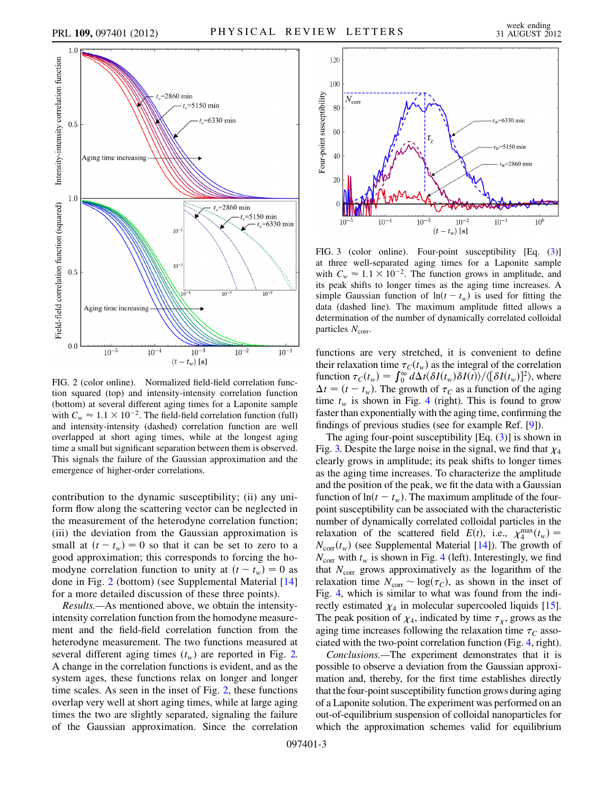<span id="page-2-0"></span>

FIG. 2 (color online). Normalized field-field correlation function squared (top) and intensity-intensity correlation function (bottom) at several different aging times for a Laponite sample with  $C_w \approx 1.1 \times 10^{-2}$ . The field-field correlation function (full)<br>and intensity-intensity (dashed) correlation function are well and intensity-intensity (dashed) correlation function are well overlapped at short aging times, while at the longest aging time a small but significant separation between them is observed. This signals the failure of the Gaussian approximation and the emergence of higher-order correlations.

contribution to the dynamic susceptibility; (ii) any uniform flow along the scattering vector can be neglected in the measurement of the heterodyne correlation function; (iii) the deviation from the Gaussian approximation is small at  $(t - t_w) = 0$  so that it can be set to zero to a good approximation; this corresponds to forcing the homodyne correlation function to unity at  $(t - t_w) = 0$  as done in Fig. [2](#page-2-0) (bottom) (see Supplemental Material [[14\]](#page-3-12) for a more detailed discussion of these three points).

Results.—As mentioned above, we obtain the intensityintensity correlation function from the homodyne measurement and the field-field correlation function from the heterodyne measurement. The two functions measured at several different aging times  $(t_w)$  are reported in Fig. [2.](#page-2-0) A change in the correlation functions is evident, and as the system ages, these functions relax on longer and longer time scales. As seen in the inset of Fig. [2,](#page-2-0) these functions overlap very well at short aging times, while at large aging times the two are slightly separated, signaling the failure of the Gaussian approximation. Since the correlation

<span id="page-2-1"></span>

FIG. 3 (color online). Four-point susceptibility [Eq. ([3\)](#page-1-3)] at three well-separated aging times for a Laponite sample with  $C_w \approx 1.1 \times 10^{-2}$ . The function grows in amplitude, and<br>its neak shifts to longer times as the aging time increases. A its peak shifts to longer times as the aging time increases. A simple Gaussian function of  $ln(t - t_w)$  is used for fitting the data (dashed line). The maximum amplitude fitted allows a determination of the number of dynamically correlated colloidal particles  $N_{\text{corr}}$ .

functions are very stretched, it is convenient to define their relaxation time  $\tau_C(t_w)$  as the integral of the correlation function  $\tau_C(t_w) = \int_0^\infty d\Delta t \langle \delta I(t_w) \delta I(t) \rangle / \langle [\delta I(t_w)]^2 \rangle$ , where  $\Delta t = (t - t_w)$ . The growth of  $\tau_c$  as a function of the aging time  $t_w$  is shown in Fig. [4](#page-3-13) (right). This is found to grow faster than exponentially with the aging time, confirming the findings of previous studies (see for example Ref. [[9\]](#page-3-7)).

The aging four-point susceptibility  $[Eq. (3)]$  $[Eq. (3)]$  $[Eq. (3)]$  is shown in Fig. [3.](#page-2-1) Despite the large noise in the signal, we find that  $\chi_4$ clearly grows in amplitude; its peak shifts to longer times as the aging time increases. To characterize the amplitude and the position of the peak, we fit the data with a Gaussian function of  $ln(t - t_w)$ . The maximum amplitude of the fourpoint susceptibility can be associated with the characteristic number of dynamically correlated colloidal particles in the relaxation of the scattered field  $E(t)$ , i.e.,  $\chi_4^{\text{max}}(t_w) = N(t)$  (see Supplemental Material [141]). The growth of  $N_{\text{corr}}(t_w)$  (see Supplemental Material [\[14](#page-3-12)]). The growth of  $N_{\text{query}}$  with t is shown in Fig. 4 (left) Interestingly we find  $N_{\text{corr}}$  with  $t_w$  is shown in Fig. [4](#page-3-13) (left). Interestingly, we find<br>that  $N_{\text{corr}}$  arous approximatively as the logarithm of the that  $N_{\text{corr}}$  grows approximatively as the logarithm of the relaxation time  $N_{\text{corr}} \sim \log(\tau_C)$ , as shown in the inset of Fig. [4,](#page-3-13) which is similar to what was found from the indirectly estimated  $\chi_4$  in molecular supercooled liquids [[15](#page-3-14)]. The peak position of  $\chi_4$ , indicated by time  $\tau_x$ , grows as the aging time increases following the relaxation time  $\tau_c$  associated with the two-point correlation function (Fig. [4,](#page-3-13) right).

Conclusions.—The experiment demonstrates that it is possible to observe a deviation from the Gaussian approximation and, thereby, for the first time establishes directly that the four-point susceptibility function grows during aging of a Laponite solution. The experiment was performed on an out-of-equilibrium suspension of colloidal nanoparticles for which the approximation schemes valid for equilibrium